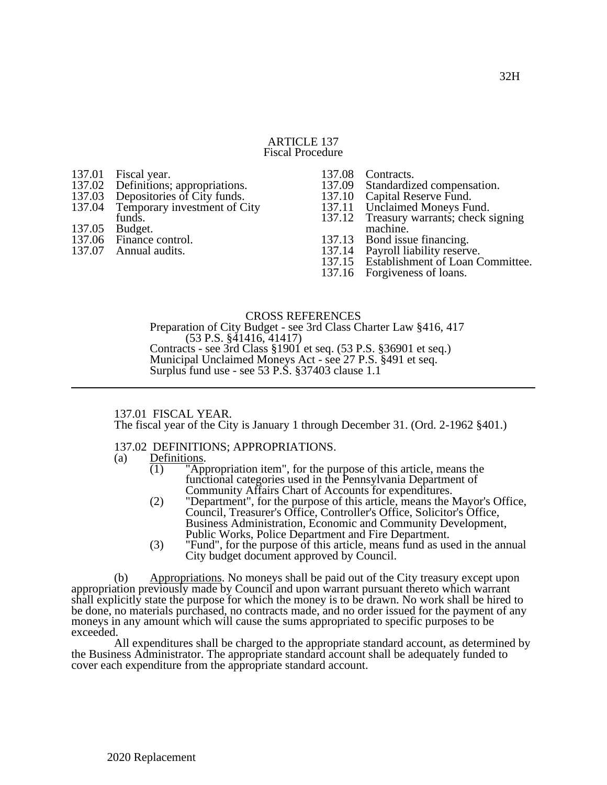# ARTICLE 137 Fiscal Procedure

- 137.01 Fiscal year.<br>137.02 Definitions: 137.02 Definitions; appropriations.<br>137.03 Depositories of City funds.
- 
- 137.03 Depositories of City funds.<br>137.04 Temporary investment of C Temporary investment of City
- funds.
- 137.05 Budget.<br>137.06 Finance
- 137.06 Finance control.<br>137.07 Annual audits.
- Annual audits.

- 137.08 Contracts.<br>137.09 Standardiz 137.09 Standardized compensation.<br>137.10 Capital Reserve Fund.
- 
- 137.10 Capital Reserve Fund.<br>137.11 Unclaimed Moneys Fu 137.11 Unclaimed Moneys Fund.<br>137.12 Treasury warrants; check s
- Treasury warrants; check signing machine.
- 137.13 Bond issue financing.<br>137.14 Payroll liability reserve
- 
- 137.14 Payroll liability reserve.<br>137.15 Establishment of Loan C Establishment of Loan Committee.
- 137.16 Forgiveness of loans.

# CROSS REFERENCES

Preparation of City Budget - see 3rd Class Charter Law §416, 417 (53 P.S. §41416, 41417) Contracts - see 3rd Class §1901 et seq. (53 P.S. §36901 et seq.) Municipal Unclaimed Moneys Act - see 27 P.S. §491 et seq. Surplus fund use - see 53 P.S. §37403 clause 1.1

# 137.01 FISCAL YEAR.

The fiscal year of the City is January 1 through December 31. (Ord. 2-1962 §401.)

# 137.02 DEFINITIONS; APPROPRIATIONS.

# (a) Definitions.<br>(1)  $"Ap$

- 'Appropriation item", for the purpose of this article, means the functional categories used in the Pennsylvania Department of Community Affairs Chart of Accounts for expenditures.
- (2) "Department", for the purpose of this article, means the Mayor's Office, Council, Treasurer's Office, Controller's Office, Solicitor's Office, Business Administration, Economic and Community Development, Public Works, Police Department and Fire Department.
- (3) "Fund", for the purpose of this article, means fund as used in the annual City budget document approved by Council.

(b) Appropriations. No moneys shall be paid out of the City treasury except upon appropriation previously made by Council and upon warrant pursuant thereto which warrant shall explicitly state the purpose for which the money is to be drawn. No work shall be hired to be done, no materials purchased, no contracts made, and no order issued for the payment of any moneys in any amount which will cause the sums appropriated to specific purposes to be exceeded.

All expenditures shall be charged to the appropriate standard account, as determined by the Business Administrator. The appropriate standard account shall be adequately funded to cover each expenditure from the appropriate standard account.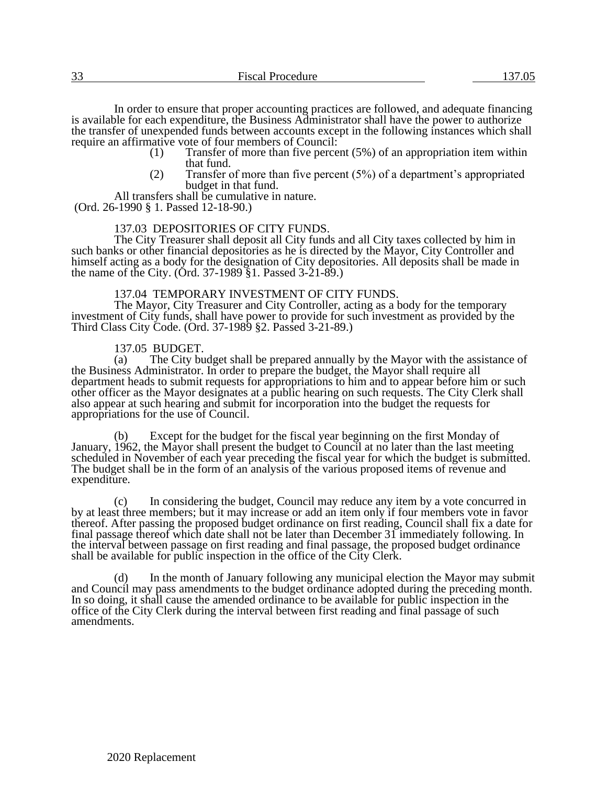In order to ensure that proper accounting practices are followed, and adequate financing is available for each expenditure, the Business Administrator shall have the power to authorize the transfer of unexpended funds between accounts except in the following instances which shall require an affirmative vote of four members of Council:<br>(1) Transfer of more than five perce

- Transfer of more than five percent  $(5%)$  of an appropriation item within that fund.
- (2) Transfer of more than five percent (5%) of a department's appropriated budget in that fund.

All transfers shall be cumulative in nature.

(Ord. 26-1990 § 1. Passed 12-18-90.)

# 137.03 DEPOSITORIES OF CITY FUNDS.

The City Treasurer shall deposit all City funds and all City taxes collected by him in such banks or other financial depositories as he is directed by the Mayor, City Controller and himself acting as a body for the designation of City depositories. All deposits shall be made in the name of the City. (Ord. 37-1989  $\S1$ . Passed 3-21-89.)

### 137.04 TEMPORARY INVESTMENT OF CITY FUNDS.

The Mayor, City Treasurer and City Controller, acting as a body for the temporary investment of City funds, shall have power to provide for such investment as provided by the Third Class City Code. (Ord. 37-1989 §2. Passed 3-21-89.)

137.05 BUDGET.<br>(a) The City bu

The City budget shall be prepared annually by the Mayor with the assistance of the Business Administrator. In order to prepare the budget, the Mayor shall require all department heads to submit requests for appropriations to him and to appear before him or such other officer as the Mayor designates at a public hearing on such requests. The City Clerk shall also appear at such hearing and submit for incorporation into the budget the requests for appropriations for the use of Council.

Except for the budget for the fiscal year beginning on the first Monday of January, 1962, the Mayor shall present the budget to Council at no later than the last meeting scheduled in November of each year preceding the fiscal year for which the budget is submitted. The budget shall be in the form of an analysis of the various proposed items of revenue and expenditure.

(c) In considering the budget, Council may reduce any item by a vote concurred in by at least three members; but it may increase or add an item only if four members vote in favor thereof. After passing the proposed budget ordinance on first reading, Council shall fix a date for final passage thereof which date shall not be later than December 31 immediately following. In the interval between passage on first reading and final passage, the proposed budget ordinance shall be available for public inspection in the office of the City Clerk.

In the month of January following any municipal election the Mayor may submit and Council may pass amendments to the budget ordinance adopted during the preceding month. In so doing, it shall cause the amended ordinance to be available for public inspection in the office of the City Clerk during the interval between first reading and final passage of such amendments.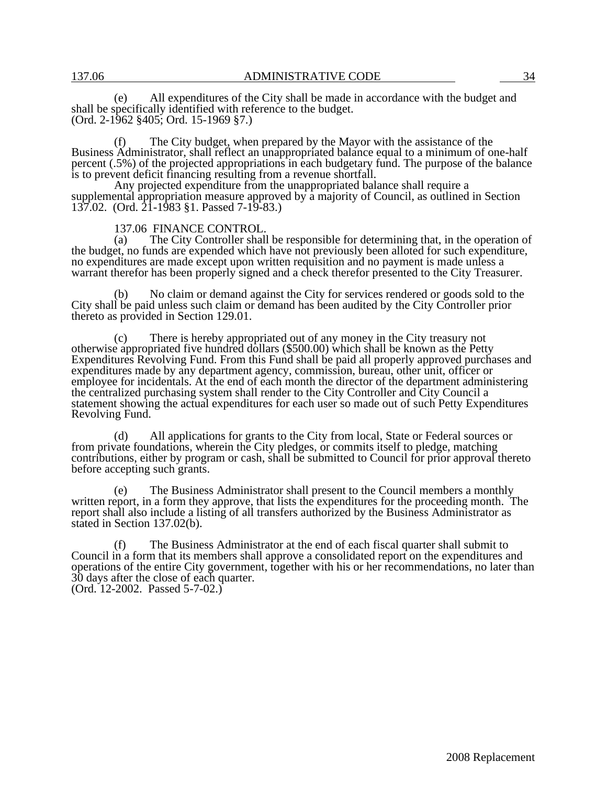(e) All expenditures of the City shall be made in accordance with the budget and shall be specifically identified with reference to the budget. (Ord. 2-1962 §405; Ord. 15-1969 §7.)

The City budget, when prepared by the Mayor with the assistance of the Business Administrator, shall reflect an unappropriated balance equal to a minimum of one-half percent (.5%) of the projected appropriations in each budgetary fund. The purpose of the balance is to prevent deficit financing resulting from a revenue shortfall.

Any projected expenditure from the unappropriated balance shall require a supplemental appropriation measure approved by a majority of Council, as outlined in Section 137.02. (Ord. 21-1983 §1. Passed 7-19-83.)

# 137.06 FINANCE CONTROL.<br>(a) The City Controller shall

The City Controller shall be responsible for determining that, in the operation of the budget, no funds are expended which have not previously been alloted for such expenditure, no expenditures are made except upon written requisition and no payment is made unless a warrant therefor has been properly signed and a check therefor presented to the City Treasurer.

(b) No claim or demand against the City for services rendered or goods sold to the City shall be paid unless such claim or demand has been audited by the City Controller prior thereto as provided in Section 129.01.

(c) There is hereby appropriated out of any money in the City treasury not otherwise appropriated five hundred dollars (\$500.00) which shall be known as the Petty Expenditures Revolving Fund. From this Fund shall be paid all properly approved purchases and expenditures made by any department agency, commission, bureau, other unit, officer or employee for incidentals. At the end of each month the director of the department administering the centralized purchasing system shall render to the City Controller and City Council a statement showing the actual expenditures for each user so made out of such Petty Expenditures Revolving Fund.

(d) All applications for grants to the City from local, State or Federal sources or from private foundations, wherein the City pledges, or commits itself to pledge, matching contributions, either by program or cash, shall be submitted to Council for prior approval thereto before accepting such grants.

(e) The Business Administrator shall present to the Council members a monthly written report, in a form they approve, that lists the expenditures for the proceeding month. The report shall also include a listing of all transfers authorized by the Business Administrator as stated in Section 137.02(b).

(f) The Business Administrator at the end of each fiscal quarter shall submit to Council in a form that its members shall approve a consolidated report on the expenditures and operations of the entire City government, together with his or her recommendations, no later than 30 days after the close of each quarter. (Ord. 12-2002. Passed 5-7-02.)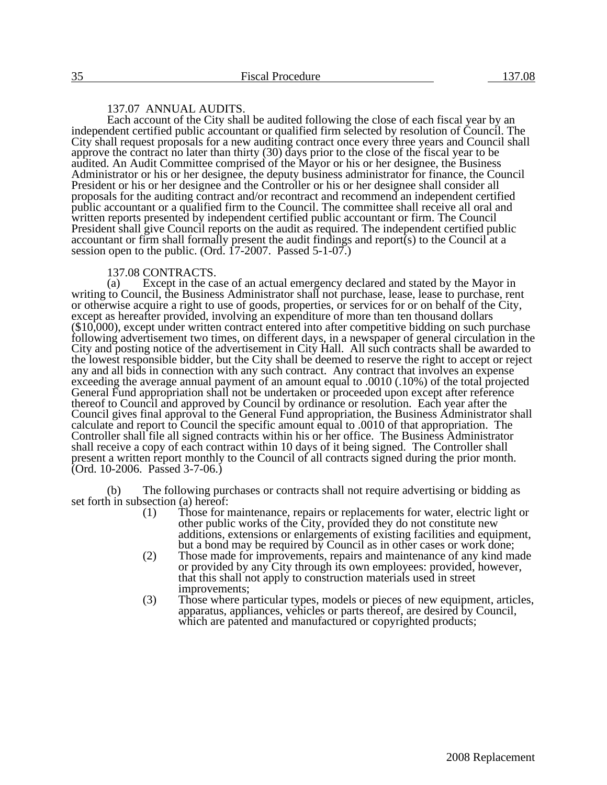# 137.07 ANNUAL AUDITS.

Each account of the City shall be audited following the close of each fiscal year by an independent certified public accountant or qualified firm selected by resolution of Council. The City shall request proposals for a new auditing contract once every three years and Council shall approve the contract no later than thirty (30) days prior to the close of the fiscal year to be audited. An Audit Committee comprised of the Mayor or his or her designee, the Business Administrator or his or her designee, the deputy business administrator for finance, the Council President or his or her designee and the Controller or his or her designee shall consider all proposals for the auditing contract and/or recontract and recommend an independent certified public accountant or a qualified firm to the Council. The committee shall receive all oral and written reports presented by independent certified public accountant or firm. The Council President shall give Council reports on the audit as required. The independent certified public accountant or firm shall formally present the audit findings and report(s) to the Council at a session open to the public. (Ord. 17-2007. Passed 5-1-07.)

#### 137.08 CONTRACTS.

(a) Except in the case of an actual emergency declared and stated by the Mayor in writing to Council, the Business Administrator shall not purchase, lease, lease to purchase, rent or otherwise acquire a right to use of goods, properties, or services for or on behalf of the City, except as hereafter provided, involving an expenditure of more than ten thousand dollars (\$10,000), except under written contract entered into after competitive bidding on such purchase following advertisement two times, on different days, in a newspaper of general circulation in the City and posting notice of the advertisement in City Hall. All such contracts shall be awarded to the lowest responsible bidder, but the City shall be deemed to reserve the right to accept or reject any and all bids in connection with any such contract. Any contract that involves an expense exceeding the average annual payment of an amount equal to .0010 (.10%) of the total projected General Fund appropriation shall not be undertaken or proceeded upon except after reference thereof to Council and approved by Council by ordinance or resolution. Each year after the Council gives final approval to the General Fund appropriation, the Business Administrator shall calculate and report to Council the specific amount equal to .0010 of that appropriation. The Controller shall file all signed contracts within his or her office. The Business Administrator shall receive a copy of each contract within 10 days of it being signed. The Controller shall present a written report monthly to the Council of all contracts signed during the prior month. (Ord. 10-2006. Passed 3-7-06.)

(b) The following purchases or contracts shall not require advertising or bidding as set forth in subsection (a) hereof:<br>(1) Those for  $r$ 

- Those for maintenance, repairs or replacements for water, electric light or other public works of the City, provided they do not constitute new additions, extensions or enlargements of existing facilities and equipment, but a bond may be required by Council as in other cases or work done;
- (2) Those made for improvements, repairs and maintenance of any kind made or provided by any City through its own employees: provided, however, that this shall not apply to construction materials used in street improvements;
- (3) Those where particular types, models or pieces of new equipment, articles, apparatus, appliances, vehicles or parts thereof, are desired by Council, which are patented and manufactured or copyrighted products;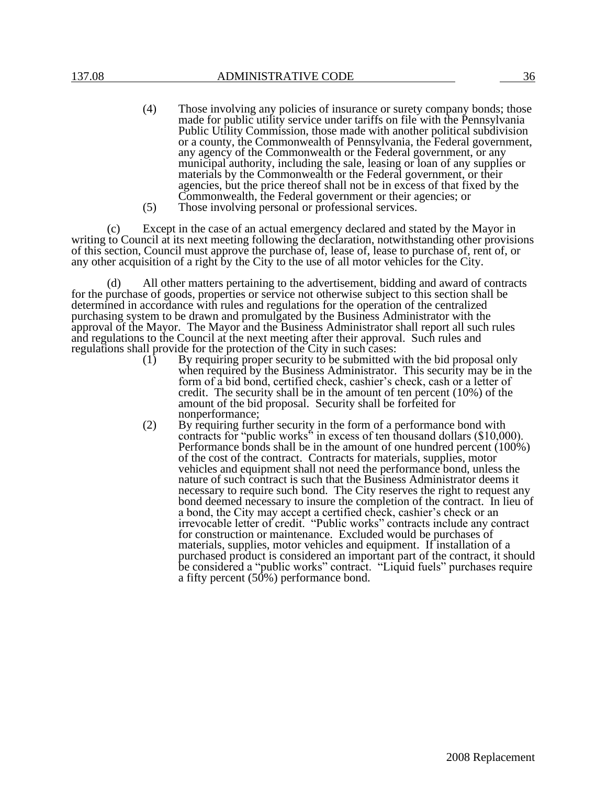- (4) Those involving any policies of insurance or surety company bonds; those made for public utility service under tariffs on file with the Pennsylvania Public Utility Commission, those made with another political subdivision or a county, the Commonwealth of Pennsylvania, the Federal government, any agency of the Commonwealth or the Federal government, or any municipal authority, including the sale, leasing or loan of any supplies or materials by the Commonwealth or the Federal government, or their agencies, but the price thereof shall not be in excess of that fixed by the Commonwealth, the Federal government or their agencies; or
- (5) Those involving personal or professional services.

(c) Except in the case of an actual emergency declared and stated by the Mayor in writing to Council at its next meeting following the declaration, notwithstanding other provisions of this section, Council must approve the purchase of, lease of, lease to purchase of, rent of, or any other acquisition of a right by the City to the use of all motor vehicles for the City.

(d) All other matters pertaining to the advertisement, bidding and award of contracts for the purchase of goods, properties or service not otherwise subject to this section shall be determined in accordance with rules and regulations for the operation of the centralized purchasing system to be drawn and promulgated by the Business Administrator with the approval of the Mayor. The Mayor and the Business Administrator shall report all such rules and regulations to the Council at the next meeting after their approval. Such rules and regulations shall provide for the protection of the City in such cases:

- (1) By requiring proper security to be submitted with the bid proposal only when required by the Business Administrator. This security may be in the form of a bid bond, certified check, cashier's check, cash or a letter of credit. The security shall be in the amount of ten percent (10%) of the amount of the bid proposal. Security shall be forfeited for nonperformance;
- (2) By requiring further security in the form of a performance bond with contracts for "public works" in excess of ten thousand dollars (\$10,000). Performance bonds shall be in the amount of one hundred percent (100%) of the cost of the contract. Contracts for materials, supplies, motor vehicles and equipment shall not need the performance bond, unless the nature of such contract is such that the Business Administrator deems it necessary to require such bond. The City reserves the right to request any bond deemed necessary to insure the completion of the contract. In lieu of a bond, the City may accept a certified check, cashier's check or an irrevocable letter of credit. "Public works" contracts include any contract for construction or maintenance. Excluded would be purchases of materials, supplies, motor vehicles and equipment. If installation of a purchased product is considered an important part of the contract, it should be considered a "public works" contract. "Liquid fuels" purchases require a fifty percent (50%) performance bond.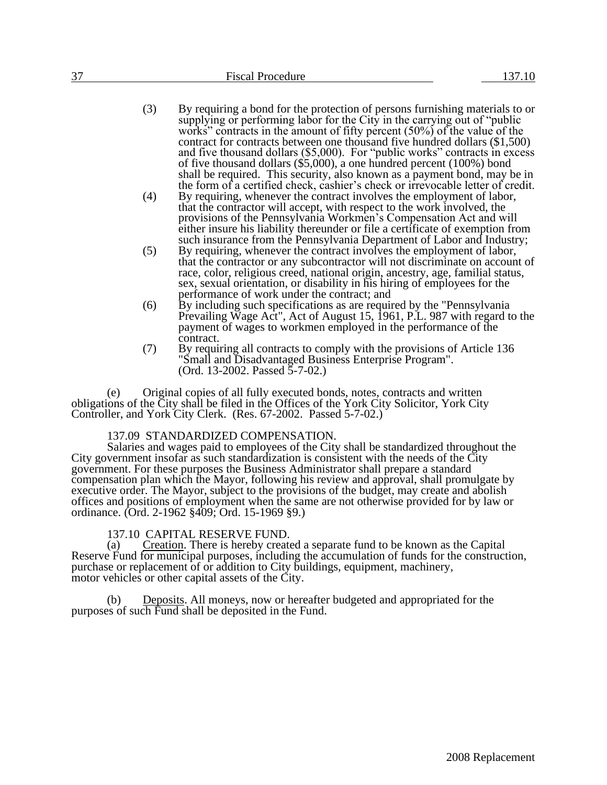| $\sim$<br>ັ | <b>Fiscal Procedure</b> | $. \cap$ |
|-------------|-------------------------|----------|
|             |                         |          |

- (3) By requiring a bond for the protection of persons furnishing materials to or supplying or performing labor for the City in the carrying out of "public works" contracts in the amount of fifty percent (50%) of the value of the contract for contracts between one thousand five hundred dollars (\$1,500) and five thousand dollars (\$5,000). For "public works" contracts in excess of five thousand dollars  $(\$5,000)$ , a one hundred percent (100%) bond shall be required. This security, also known as a payment bond, may be in the form of a certified check, cashier's check or irrevocable letter of credit.
- (4) By requiring, whenever the contract involves the employment of labor, that the contractor will accept, with respect to the work involved, the provisions of the Pennsylvania Workmen's Compensation Act and will either insure his liability thereunder or file a certificate of exemption from such insurance from the Pennsylvania Department of Labor and Industry;
- (5) By requiring, whenever the contract involves the employment of labor, that the contractor or any subcontractor will not discriminate on account of race, color, religious creed, national origin, ancestry, age, familial status, sex, sexual orientation, or disability in his hiring of employees for the performance of work under the contract; and
- (6) By including such specifications as are required by the "Pennsylvania Prevailing Wage Act", Act of August 15, 1961, P.L. 987 with regard to the payment of wages to workmen employed in the performance of the contract.
- (7) By requiring all contracts to comply with the provisions of Article 136 "Small and Disadvantaged Business Enterprise Program". (Ord. 13-2002. Passed 5-7-02.)

(e) Original copies of all fully executed bonds, notes, contracts and written obligations of the City shall be filed in the Offices of the York City Solicitor, York City Controller, and York City Clerk. (Res. 67-2002. Passed 5-7-02.)

# 137.09 STANDARDIZED COMPENSATION.

Salaries and wages paid to employees of the City shall be standardized throughout the City government insofar as such standardization is consistent with the needs of the City government. For these purposes the Business Administrator shall prepare a standard compensation plan which the Mayor, following his review and approval, shall promulgate by executive order. The Mayor, subject to the provisions of the budget, may create and abolish offices and positions of employment when the same are not otherwise provided for by law or ordinance. (Ord. 2-1962 §409; Ord. 15-1969 §9.)

# 137.10 CAPITAL RESERVE FUND.<br>(a) Creation. There is hereby create

Creation. There is hereby created a separate fund to be known as the Capital Reserve Fund for municipal purposes, including the accumulation of funds for the construction, purchase or replacement of or addition to City buildings, equipment, machinery, motor vehicles or other capital assets of the City.

(b) Deposits. All moneys, now or hereafter budgeted and appropriated for the purposes of such Fund shall be deposited in the Fund.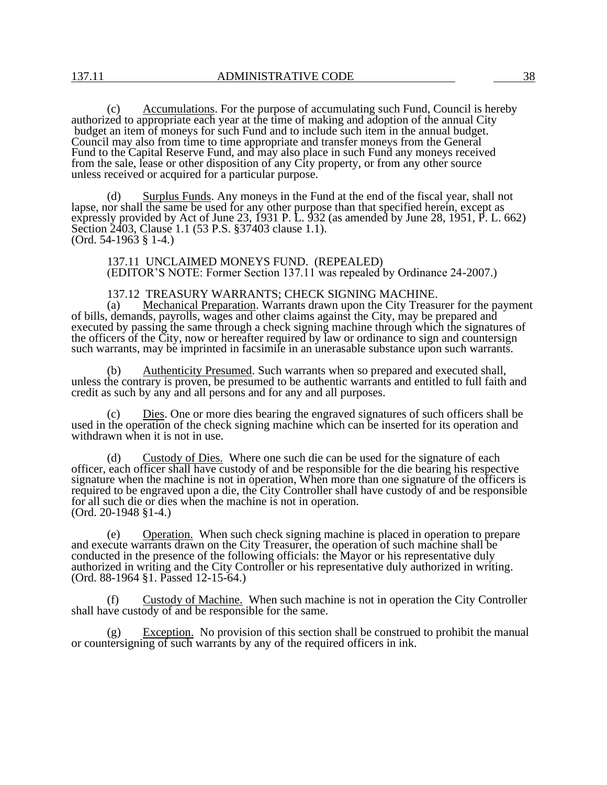(c) Accumulations. For the purpose of accumulating such Fund, Council is hereby authorized to appropriate each year at the time of making and adoption of the annual City budget an item of moneys for such Fund and to include such item in the annual budget. Council may also from time to time appropriate and transfer moneys from the General Fund to the Capital Reserve Fund, and may also place in such Fund any moneys received from the sale, lease or other disposition of any City property, or from any other source unless received or acquired for a particular purpose.

(d) Surplus Funds. Any moneys in the Fund at the end of the fiscal year, shall not lapse, nor shall the same be used for any other purpose than that specified herein, except as expressly provided by Act of June 23, 1931 P. L. 932 (as amended by June 28, 1951, P. L. 662) Section 2403, Clause 1.1 (53 P.S. §37403 clause 1.1). (Ord. 54-1963 § 1-4.)

137.11 UNCLAIMED MONEYS FUND. (REPEALED) (EDITOR'S NOTE: Former Section 137.11 was repealed by Ordinance 24-2007.)

137.12 TREASURY WARRANTS; CHECK SIGNING MACHINE.

(a) Mechanical Preparation. Warrants drawn upon the City Treasurer for the payment of bills, demands, payrolls, wages and other claims against the City, may be prepared and executed by passing the same through a check signing machine through which the signatures of the officers of the City, now or hereafter required by law or ordinance to sign and countersign such warrants, may be imprinted in facsimile in an unerasable substance upon such warrants.

Authenticity Presumed. Such warrants when so prepared and executed shall, unless the contrary is proven, be presumed to be authentic warrants and entitled to full faith and credit as such by any and all persons and for any and all purposes.

Dies. One or more dies bearing the engraved signatures of such officers shall be used in the operation of the check signing machine which can be inserted for its operation and withdrawn when it is not in use.

(d) Custody of Dies. Where one such die can be used for the signature of each officer, each officer shall have custody of and be responsible for the die bearing his respective signature when the machine is not in operation, When more than one signature of the officers is required to be engraved upon a die, the City Controller shall have custody of and be responsible for all such die or dies when the machine is not in operation. (Ord. 20-1948 §1-4.)

(e) Operation. When such check signing machine is placed in operation to prepare and execute warrants drawn on the City Treasurer, the operation of such machine shall be conducted in the presence of the following officials: the Mayor or his representative duly authorized in writing and the City Controller or his representative duly authorized in writing. (Ord. 88-1964 §1. Passed 12-15-64.)

(f) Custody of Machine. When such machine is not in operation the City Controller shall have custody of and be responsible for the same.

(g) Exception. No provision of this section shall be construed to prohibit the manual or countersigning of such warrants by any of the required officers in ink.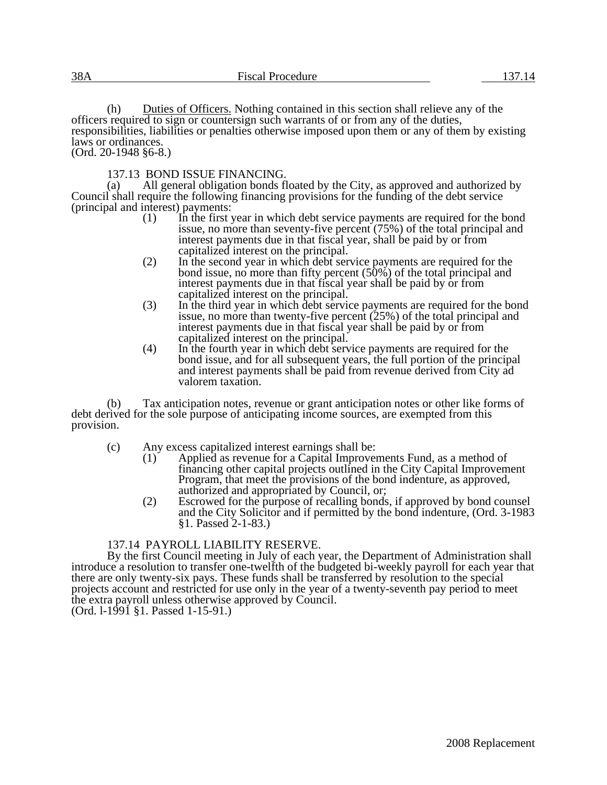(h) Duties of Officers. Nothing contained in this section shall relieve any of the officers required to sign or countersign such warrants of or from any of the duties, responsibilities, liabilities or penalties otherwise imposed upon them or any of them by existing laws or ordinances. (Ord. 20-1948 §6-8.)

137.13 BOND ISSUE FINANCING.

(a) All general obligation bonds floated by the City, as approved and authorized by Council shall require the following financing provisions for the funding of the debt service (principal and interest) payments:<br>(1) In the first  $\chi$ 

- In the first year in which debt service payments are required for the bond issue, no more than seventy-five percent (75%) of the total principal and interest payments due in that fiscal year, shall be paid by or from capitalized interest on the principal.
- (2) In the second year in which debt service payments are required for the bond issue, no more than fifty percent (50%) of the total principal and interest payments due in that fiscal year shall be paid by or from capitalized interest on the principal.
- (3) In the third year in which debt service payments are required for the bond issue, no more than twenty-five percent (25%) of the total principal and interest payments due in that fiscal year shall be paid by or from capitalized interest on the principal.
- (4) In the fourth year in which debt service payments are required for the bond issue, and for all subsequent years, the full portion of the principal and interest payments shall be paid from revenue derived from City ad valorem taxation.

(b) Tax anticipation notes, revenue or grant anticipation notes or other like forms of debt derived for the sole purpose of anticipating income sources, are exempted from this provision.

- (c) Any excess capitalized interest earnings shall be:<br>(1) Applied as revenue for a Capital Improver
	- Applied as revenue for a Capital Improvements Fund, as a method of financing other capital projects outlined in the City Capital Improvement Program, that meet the provisions of the bond indenture, as approved, authorized and appropriated by Council, or;
	- (2) Escrowed for the purpose of recalling bonds, if approved by bond counsel and the City Solicitor and if permitted by the bond indenture, (Ord. 3-1983 §1. Passed 2-1-83.)

# 137.14 PAYROLL LIABILITY RESERVE.

By the first Council meeting in July of each year, the Department of Administration shall introduce a resolution to transfer one-twelfth of the budgeted bi-weekly payroll for each year that there are only twenty-six pays. These funds shall be transferred by resolution to the special projects account and restricted for use only in the year of a twenty-seventh pay period to meet the extra payroll unless otherwise approved by Council.

(Ord. l-1991 §1. Passed 1-15-91.)

2008 Replacement